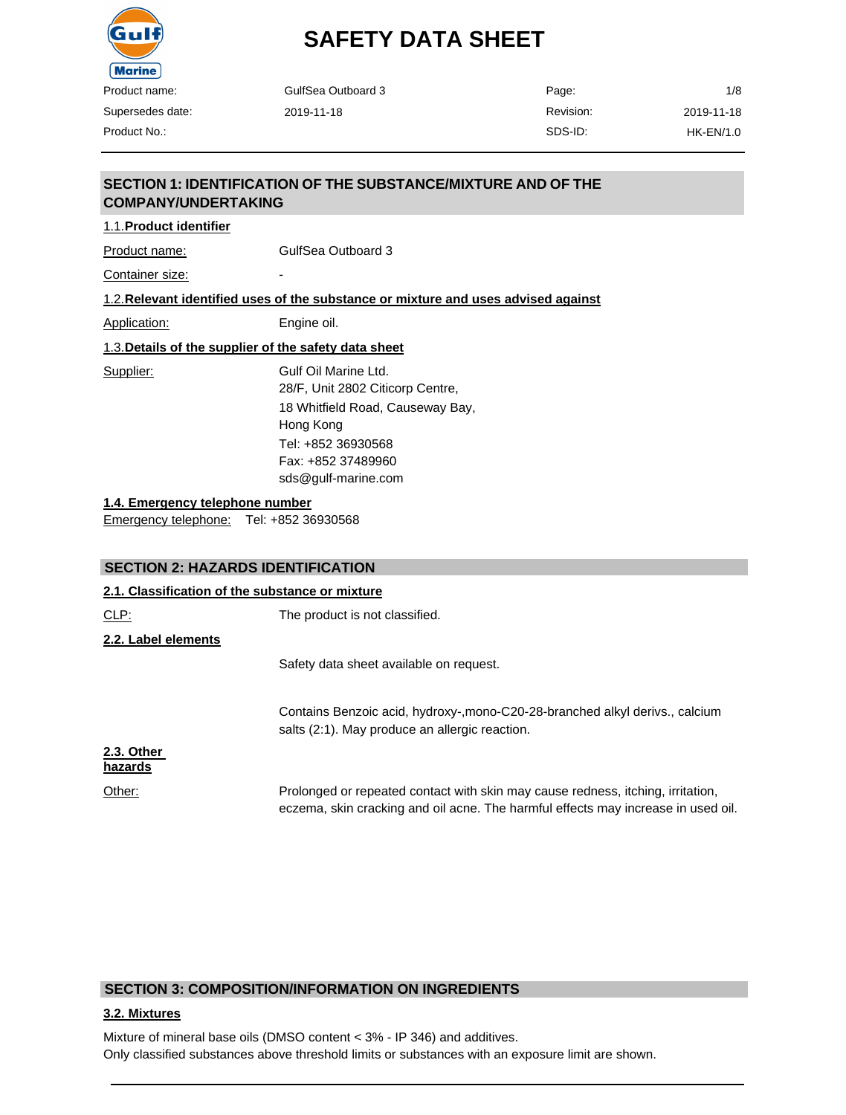

Supersedes date: Product No.:

# **SAFETY DATA SHEET**

| GulfSea Outboard 3 | Page:     | 1/8        |
|--------------------|-----------|------------|
| 2019-11-18         | Revision: | 2019-11-18 |
|                    | SDS-ID:   | HK-EN/1.0  |

#### **SECTION 1: IDENTIFICATION OF THE SUBSTANCE/MIXTURE AND OF THE COMPANY/UNDERTAKING**

1.1.**Product identifier**

Product name: GulfSea Outboard 3

Container size:

1.2.**Relevant identified uses of the substance or mixture and uses advised against**

Application: Engine oil.

1.3.**Details of the supplier of the safety data sheet**

Supplier: Gulf Oil Marine Ltd. 28/F, Unit 2802 Citicorp Centre, 18 Whitfield Road, Causeway Bay, Hong Kong Tel: +852 36930568 Fax: +852 37489960 [sds@gulf-marine.com](mailto:sds@gulf-marine.com)

**1.4. Emergency telephone number**

Emergency telephone: Tel: +852 36930568

#### **SECTION 2: HAZARDS IDENTIFICATION**

| 2.1. Classification of the substance or mixture |                                                                                                                                                                      |
|-------------------------------------------------|----------------------------------------------------------------------------------------------------------------------------------------------------------------------|
| CLP:                                            | The product is not classified.                                                                                                                                       |
| 2.2. Label elements                             |                                                                                                                                                                      |
|                                                 | Safety data sheet available on request.                                                                                                                              |
|                                                 | Contains Benzoic acid, hydroxy-, mono-C20-28-branched alkyl derivs., calcium<br>salts (2:1). May produce an allergic reaction.                                       |
| 2.3. Other<br>hazards                           |                                                                                                                                                                      |
| Other:                                          | Prolonged or repeated contact with skin may cause redness, itching, irritation,<br>eczema, skin cracking and oil acne. The harmful effects may increase in used oil. |

#### **SECTION 3: COMPOSITION/INFORMATION ON INGREDIENTS**

#### **3.2. Mixtures**

Mixture of mineral base oils (DMSO content < 3% - IP 346) and additives. Only classified substances above threshold limits or substances with an exposure limit are shown.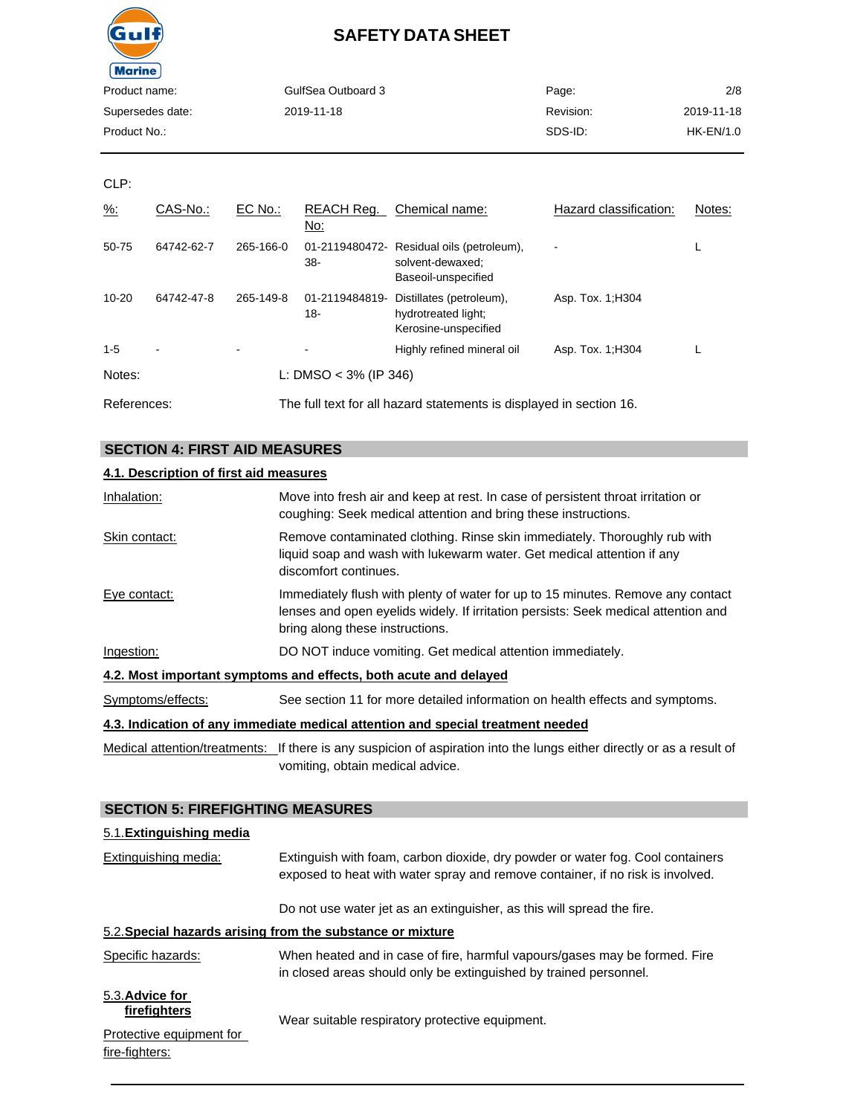

| Product name:    | GulfSea Outboard 3 | Page:     | 2/8        |
|------------------|--------------------|-----------|------------|
| Supersedes date: | 2019-11-18         | Revision: | 2019-11-18 |
| Product No.:     |                    | SDS-ID:   | HK-EN/1.0  |
|                  |                    |           |            |

CLP:

| $\frac{9}{6}$ : | CAS-No.:   | EC No.:   | REACH Req.<br>No:        | Chemical name:                                                                       | Hazard classification: | Notes: |
|-----------------|------------|-----------|--------------------------|--------------------------------------------------------------------------------------|------------------------|--------|
| 50-75           | 64742-62-7 | 265-166-0 | 38-                      | 01-2119480472- Residual oils (petroleum),<br>solvent-dewaxed:<br>Baseoil-unspecified |                        |        |
| $10 - 20$       | 64742-47-8 | 265-149-8 | 01-2119484819-<br>18-    | Distillates (petroleum),<br>hydrotreated light;<br>Kerosine-unspecified              | Asp. Tox. 1: H304      |        |
| $1 - 5$         | ٠          |           |                          | Highly refined mineral oil                                                           | Asp. Tox. 1; H304      |        |
| Notes:          |            |           | L: DMSO < $3\%$ (IP 346) |                                                                                      |                        |        |
| References:     |            |           |                          | The full text for all hazard statements is displayed in section 16.                  |                        |        |

## **SECTION 4: FIRST AID MEASURES**

#### **4.1. Description of first aid measures**

| Inhalation:                                                                     | Move into fresh air and keep at rest. In case of persistent throat irritation or<br>coughing: Seek medical attention and bring these instructions.                                                       |  |  |
|---------------------------------------------------------------------------------|----------------------------------------------------------------------------------------------------------------------------------------------------------------------------------------------------------|--|--|
| Skin contact:                                                                   | Remove contaminated clothing. Rinse skin immediately. Thoroughly rub with<br>liquid soap and wash with lukewarm water. Get medical attention if any<br>discomfort continues.                             |  |  |
| Eye contact:                                                                    | Immediately flush with plenty of water for up to 15 minutes. Remove any contact<br>lenses and open eyelids widely. If irritation persists: Seek medical attention and<br>bring along these instructions. |  |  |
| Ingestion:                                                                      | DO NOT induce vomiting. Get medical attention immediately.                                                                                                                                               |  |  |
| 4.2. Most important symptoms and effects, both acute and delayed                |                                                                                                                                                                                                          |  |  |
| Symptoms/effects:                                                               | See section 11 for more detailed information on health effects and symptoms.                                                                                                                             |  |  |
| 4.3. Indication of any immediate medical attention and special treatment needed |                                                                                                                                                                                                          |  |  |

Medical attention/treatments: If there is any suspicion of aspiration into the lungs either directly or as a result of vomiting, obtain medical advice.

## **SECTION 5: FIREFIGHTING MEASURES**

| 5.1. Extinguishing media                   |                                                                                                                                                                  |
|--------------------------------------------|------------------------------------------------------------------------------------------------------------------------------------------------------------------|
| Extinguishing media:                       | Extinguish with foam, carbon dioxide, dry powder or water fog. Cool containers<br>exposed to heat with water spray and remove container, if no risk is involved. |
|                                            | Do not use water jet as an extinguisher, as this will spread the fire.                                                                                           |
|                                            | 5.2. Special hazards arising from the substance or mixture                                                                                                       |
| Specific hazards:                          | When heated and in case of fire, harmful vapours/gases may be formed. Fire<br>in closed areas should only be extinguished by trained personnel.                  |
| 5.3. Advice for<br>firefighters            | Wear suitable respiratory protective equipment.                                                                                                                  |
| Protective equipment for<br>fire-fighters: |                                                                                                                                                                  |
|                                            |                                                                                                                                                                  |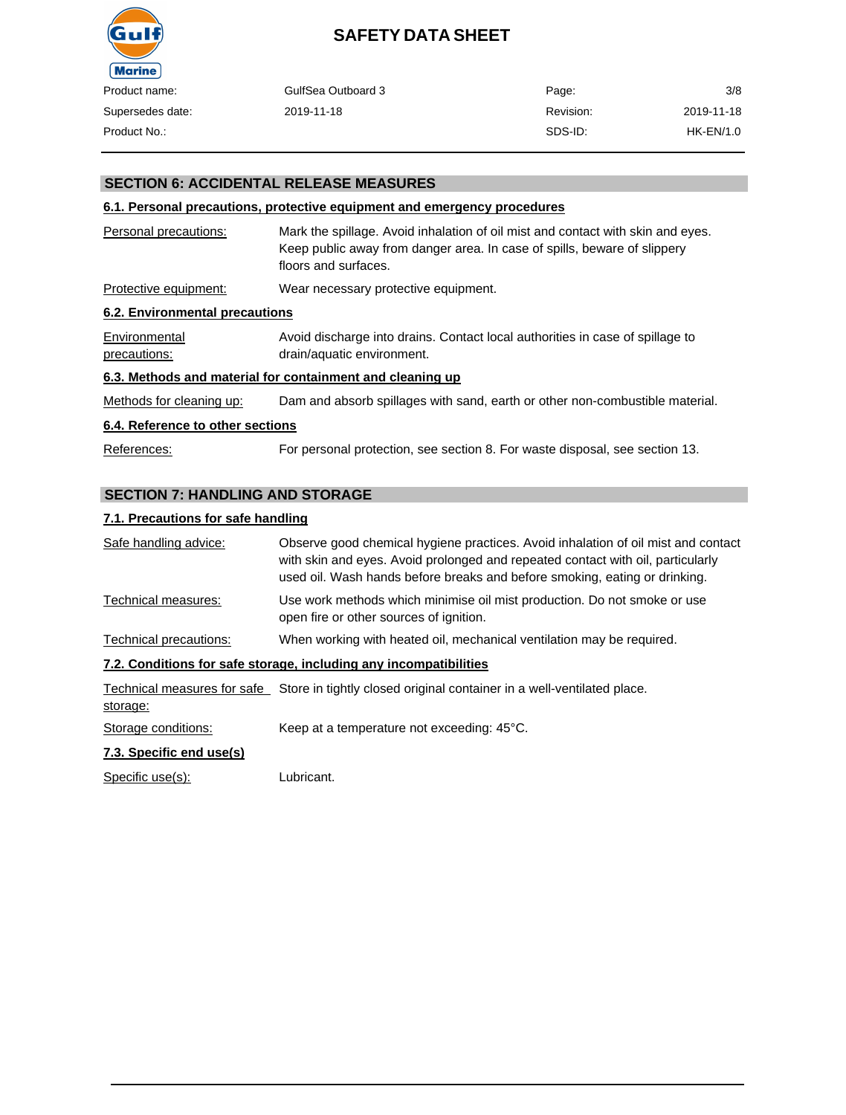

| uct name:     | GulfSea Outboard 3 | Page:     | 3/8        |
|---------------|--------------------|-----------|------------|
| ersedes date: | 2019-11-18         | Revision: | 2019-11-18 |
| uct No.:      |                    | SDS-ID:   | HK-EN/1.0  |

#### **SECTION 6: ACCIDENTAL RELEASE MEASURES**

#### **6.1. Personal precautions, protective equipment and emergency procedures**

| Personal precautions:          | Mark the spillage. Avoid inhalation of oil mist and contact with skin and eyes.<br>Keep public away from danger area. In case of spills, beware of slippery<br>floors and surfaces. |
|--------------------------------|-------------------------------------------------------------------------------------------------------------------------------------------------------------------------------------|
| Protective equipment:          | Wear necessary protective equipment.                                                                                                                                                |
| 6.2. Environmental precautions |                                                                                                                                                                                     |
| Environmental                  | Avoid discharge into drains. Contact local authorities in case of spillage to                                                                                                       |

precautions: drain/aquatic environment.

#### **6.3. Methods and material for containment and cleaning up**

Methods for cleaning up: Dam and absorb spillages with sand, earth or other non-combustible material.

#### **6.4. Reference to other sections**

References: For personal protection, see section 8. For waste disposal, see section 13.

#### **SECTION 7: HANDLING AND STORAGE**

#### **7.1. Precautions for safe handling**

| Safe handling advice:    | Observe good chemical hygiene practices. Avoid inhalation of oil mist and contact<br>with skin and eyes. Avoid prolonged and repeated contact with oil, particularly<br>used oil. Wash hands before breaks and before smoking, eating or drinking. |
|--------------------------|----------------------------------------------------------------------------------------------------------------------------------------------------------------------------------------------------------------------------------------------------|
| Technical measures:      | Use work methods which minimise oil mist production. Do not smoke or use<br>open fire or other sources of ignition.                                                                                                                                |
| Technical precautions:   | When working with heated oil, mechanical ventilation may be required.                                                                                                                                                                              |
|                          | 7.2. Conditions for safe storage, including any incompatibilities                                                                                                                                                                                  |
| storage:                 | Technical measures for safe Store in tightly closed original container in a well-ventilated place.                                                                                                                                                 |
| Storage conditions:      | Keep at a temperature not exceeding: 45°C.                                                                                                                                                                                                         |
| 7.3. Specific end use(s) |                                                                                                                                                                                                                                                    |
| Specific use(s):         | Lubricant.                                                                                                                                                                                                                                         |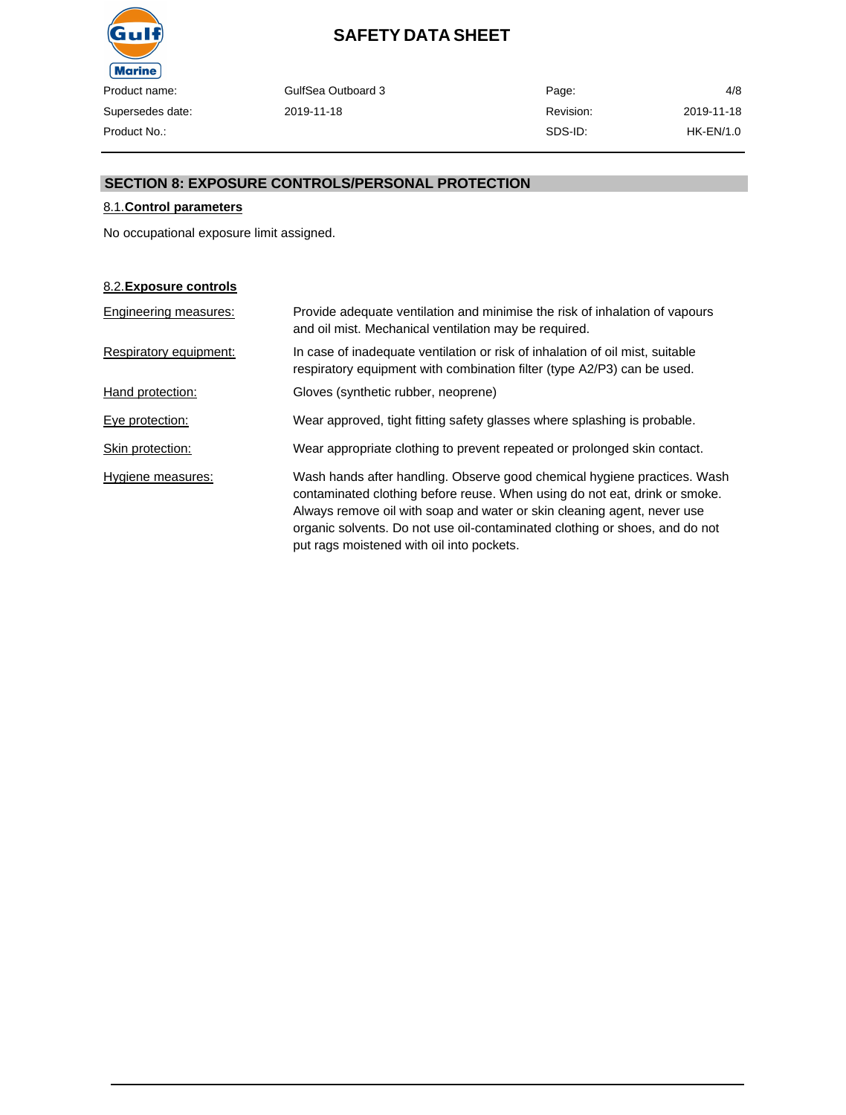

GulfSea Outboard 3 2019-11-18

Page: Revision: SDS-ID: 4/8 2019-11-18 HK-EN/1.0

#### **SECTION 8: EXPOSURE CONTROLS/PERSONAL PROTECTION**

#### 8.1.**Control parameters**

No occupational exposure limit assigned.

#### 8.2.**Exposure controls**

| Engineering measures:  | Provide adequate ventilation and minimise the risk of inhalation of vapours<br>and oil mist. Mechanical ventilation may be required.                                                                                                                                                                                                                          |
|------------------------|---------------------------------------------------------------------------------------------------------------------------------------------------------------------------------------------------------------------------------------------------------------------------------------------------------------------------------------------------------------|
| Respiratory equipment: | In case of inadequate ventilation or risk of inhalation of oil mist, suitable<br>respiratory equipment with combination filter (type A2/P3) can be used.                                                                                                                                                                                                      |
| Hand protection:       | Gloves (synthetic rubber, neoprene)                                                                                                                                                                                                                                                                                                                           |
| Eye protection:        | Wear approved, tight fitting safety glasses where splashing is probable.                                                                                                                                                                                                                                                                                      |
| Skin protection:       | Wear appropriate clothing to prevent repeated or prolonged skin contact.                                                                                                                                                                                                                                                                                      |
| Hygiene measures:      | Wash hands after handling. Observe good chemical hygiene practices. Wash<br>contaminated clothing before reuse. When using do not eat, drink or smoke.<br>Always remove oil with soap and water or skin cleaning agent, never use<br>organic solvents. Do not use oil-contaminated clothing or shoes, and do not<br>put rags moistened with oil into pockets. |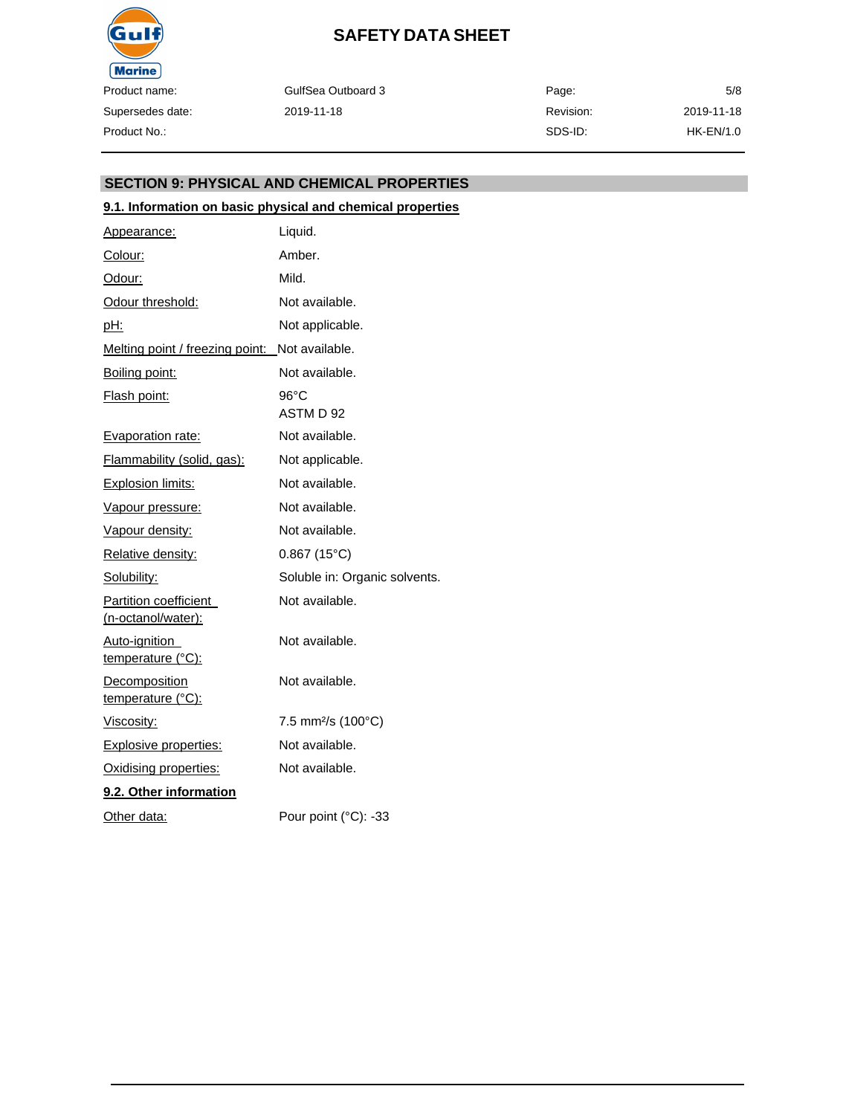

GulfSea Outboard 3 2019-11-18 Page: Revision: SDS-ID: 5/8 2019-11-18 HK-EN/1.0

#### **SECTION 9: PHYSICAL AND CHEMICAL PROPERTIES**

#### **9.1. Information on basic physical and chemical properties**

| Appearance:                                 | Liquid.                        |
|---------------------------------------------|--------------------------------|
| Colour:                                     | Amber.                         |
| Odour:                                      | Mild.                          |
| Odour threshold:                            | Not available.                 |
| pH:                                         | Not applicable.                |
| Melting point / freezing point:             | Not available.                 |
| Boiling point:                              | Not available.                 |
| Flash point:                                | 96°C<br>ASTM D 92              |
| Evaporation rate:                           | Not available.                 |
| Flammability (solid, gas):                  | Not applicable.                |
| <b>Explosion limits:</b>                    | Not available.                 |
| Vapour pressure:                            | Not available.                 |
| Vapour density:                             | Not available.                 |
| <b>Relative density:</b>                    | $0.867(15^{\circ}C)$           |
| Solubility:                                 | Soluble in: Organic solvents.  |
| Partition coefficient<br>(n-octanol/water): | Not available.                 |
| Auto-ignition<br>temperature (°C):          | Not available.                 |
| Decomposition<br>temperature (°C):          | Not available.                 |
| <u>Viscosity:</u>                           | 7.5 mm <sup>2</sup> /s (100°C) |
| Explosive properties:                       | Not available.                 |
| Oxidising properties:                       | Not available.                 |
| 9.2. Other information                      |                                |
| Other data:                                 | Pour point (°C): -33           |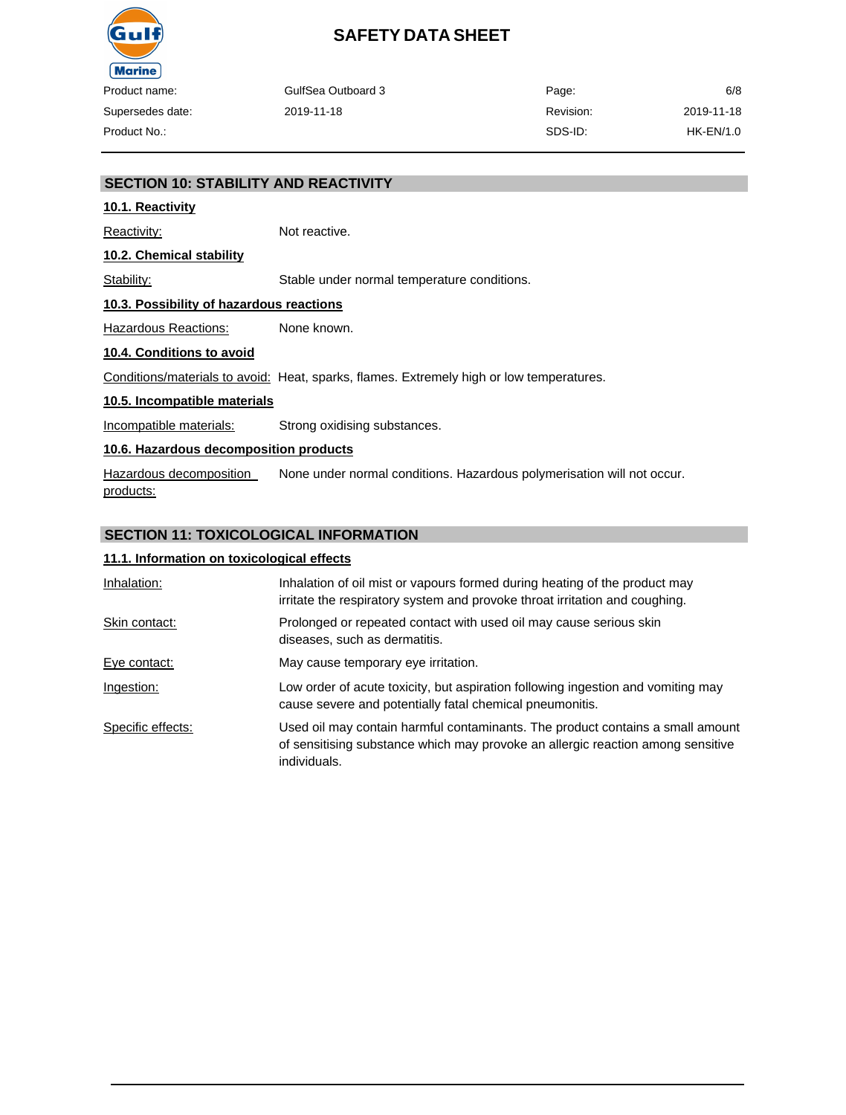

| າame:     | GulfSea Outboard 3 | Page:     | 6/8        |
|-----------|--------------------|-----------|------------|
| les date: | 2019-11-18         | Revision: | 2019-11-18 |
| ∖o∴       |                    | SDS-ID:   | HK-EN/1.0  |

#### **SECTION 10: STABILITY AND REACTIVITY**

#### **10.1. Reactivity**

Reactivity: Not reactive.

**10.2. Chemical stability**

Stability: Stable under normal temperature conditions.

#### **10.3. Possibility of hazardous reactions**

Hazardous Reactions: None known.

#### **10.4. Conditions to avoid**

Conditions/materials to avoid: Heat, sparks, flames. Extremely high or low temperatures.

#### **10.5. Incompatible materials**

Incompatible materials: Strong oxidising substances.

#### **10.6. Hazardous decomposition products**

Hazardous decomposition products: None under normal conditions. Hazardous polymerisation will not occur.

#### **SECTION 11: TOXICOLOGICAL INFORMATION**

#### **11.1. Information on toxicological effects**

| Inhalation:       | Inhalation of oil mist or vapours formed during heating of the product may<br>irritate the respiratory system and provoke throat irritation and coughing.                         |  |
|-------------------|-----------------------------------------------------------------------------------------------------------------------------------------------------------------------------------|--|
| Skin contact:     | Prolonged or repeated contact with used oil may cause serious skin<br>diseases, such as dermatitis.                                                                               |  |
| Eye contact:      | May cause temporary eye irritation.                                                                                                                                               |  |
| Ingestion:        | Low order of acute toxicity, but aspiration following ingestion and vomiting may<br>cause severe and potentially fatal chemical pneumonitis.                                      |  |
| Specific effects: | Used oil may contain harmful contaminants. The product contains a small amount<br>of sensitising substance which may provoke an allergic reaction among sensitive<br>individuals. |  |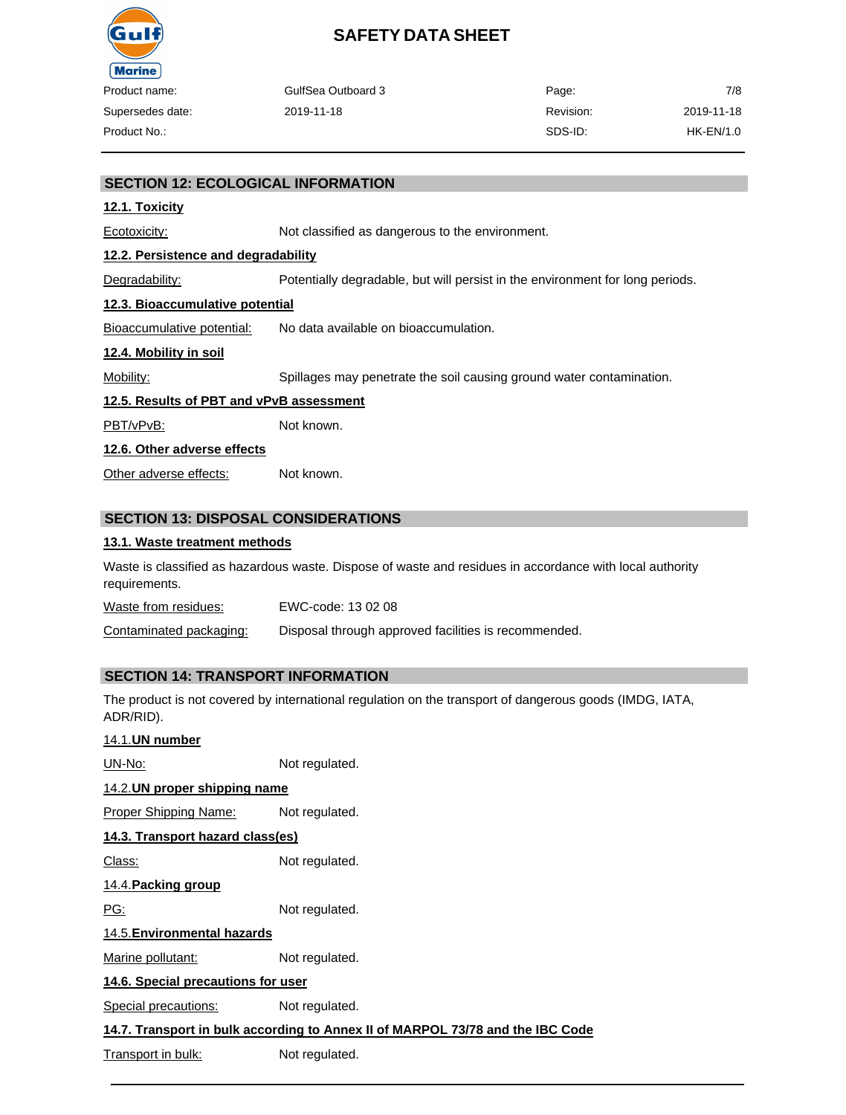

| Product name:    | GulfSea Outboard 3 | Page:     | 7/8        |
|------------------|--------------------|-----------|------------|
| Supersedes date: | 2019-11-18         | Revision: | 2019-11-18 |
| Product No.:     |                    | SDS-ID:   | HK-EN/1.0  |

#### **SECTION 12: ECOLOGICAL INFORMATION**

#### **12.1. Toxicity**

Ecotoxicity: Not classified as dangerous to the environment.

#### **12.2. Persistence and degradability**

Degradability: Potentially degradable, but will persist in the environment for long periods.

#### **12.3. Bioaccumulative potential**

Bioaccumulative potential: No data available on bioaccumulation.

#### **12.4. Mobility in soil**

Mobility: Spillages may penetrate the soil causing ground water contamination.

#### **12.5. Results of PBT and vPvB assessment**

PBT/vPvB: Not known.

#### **12.6. Other adverse effects**

Other adverse effects: Not known.

#### **SECTION 13: DISPOSAL CONSIDERATIONS**

#### **13.1. Waste treatment methods**

Waste is classified as hazardous waste. Dispose of waste and residues in accordance with local authority requirements.

Waste from residues: EWC-code: 13 02 08

Contaminated packaging: Disposal through approved facilities is recommended.

#### **SECTION 14: TRANSPORT INFORMATION**

The product is not covered by international regulation on the transport of dangerous goods (IMDG, IATA, ADR/RID).

#### 14.1.**UN number**

UN-No: Not regulated. 14.2.**UN proper shipping name** Proper Shipping Name: Not regulated.

### **14.3. Transport hazard class(es)**

Class: Not regulated.

#### 14.4.**Packing group**

PG: Not regulated.

#### 14.5.**Environmental hazards**

Marine pollutant: Not regulated.

#### **14.6. Special precautions for user**

Special precautions: Not regulated.

#### **14.7. Transport in bulk according to Annex II of MARPOL 73/78 and the IBC Code**

Transport in bulk: Not regulated.